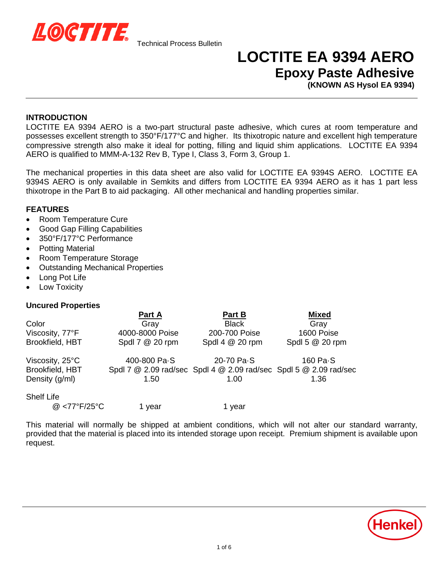

# **LOCTITE EA 9394 AERO Epoxy Paste Adhesive**

**(KNOWN AS Hysol EA 9394)**

### **INTRODUCTION**

LOCTITE EA 9394 AERO is a two-part structural paste adhesive, which cures at room temperature and possesses excellent strength to 350°F/177°C and higher. Its thixotropic nature and excellent high temperature compressive strength also make it ideal for potting, filling and liquid shim applications. LOCTITE EA 9394 AERO is qualified to MMM-A-132 Rev B, Type I, Class 3, Form 3, Group 1.

The mechanical properties in this data sheet are also valid for LOCTITE EA 9394S AERO. LOCTITE EA 9394S AERO is only available in Semkits and differs from LOCTITE EA 9394 AERO as it has 1 part less thixotrope in the Part B to aid packaging. All other mechanical and handling properties similar.

### **FEATURES**

- Room Temperature Cure
- Good Gap Filling Capabilities
- 350°F/177°C Performance
- Potting Material
- Room Temperature Storage
- Outstanding Mechanical Properties
- Long Pot Life
- Low Toxicity

#### **Uncured Properties**

|                   | Part A          | Part B                                                            | <b>Mixed</b>    |
|-------------------|-----------------|-------------------------------------------------------------------|-----------------|
| Color             | Gray            | <b>Black</b>                                                      | Gray            |
| Viscosity, 77°F   | 4000-8000 Poise | 200-700 Poise                                                     | 1600 Poise      |
| Brookfield, HBT   | Spdl 7 @ 20 rpm | Spdl 4 @ 20 rpm                                                   | Spdl 5 @ 20 rpm |
| Viscosity, 25°C   | 400-800 Pa-S    | 20-70 Pa-S                                                        | 160 Pa-S        |
| Brookfield, HBT   |                 | Spdl 7 @ 2.09 rad/sec Spdl 4 @ 2.09 rad/sec Spdl 5 @ 2.09 rad/sec |                 |
| Density (g/ml)    | 1.50            | 1.00                                                              | 1.36            |
| <b>Shelf Life</b> |                 |                                                                   |                 |
| @ <77°F/25°C      | 1 vear          | 1 vear                                                            |                 |

This material will normally be shipped at ambient conditions, which will not alter our standard warranty, provided that the material is placed into its intended storage upon receipt. Premium shipment is available upon request.

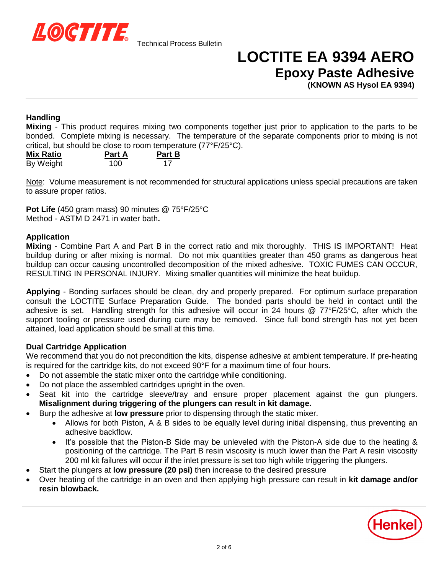

# **LOCTITE EA 9394 AERO Epoxy Paste Adhesive**

**(KNOWN AS Hysol EA 9394)**

# **Handling**

**Mixing** - This product requires mixing two components together just prior to application to the parts to be bonded. Complete mixing is necessary. The temperature of the separate components prior to mixing is not critical, but should be close to room temperature (77°F/25°C).

| <b>Mix Ratio</b> | <b>Part A</b> | <b>Part B</b> |
|------------------|---------------|---------------|
| By Weight        | 100           | 17            |

Note: Volume measurement is not recommended for structural applications unless special precautions are taken to assure proper ratios.

**Pot Life** (450 gram mass) 90 minutes @ 75°F/25°C Method - ASTM D 2471 in water bath**.**

# **Application**

**Mixing** - Combine Part A and Part B in the correct ratio and mix thoroughly. THIS IS IMPORTANT! Heat buildup during or after mixing is normal. Do not mix quantities greater than 450 grams as dangerous heat buildup can occur causing uncontrolled decomposition of the mixed adhesive. TOXIC FUMES CAN OCCUR, RESULTING IN PERSONAL INJURY. Mixing smaller quantities will minimize the heat buildup.

**Applying** - Bonding surfaces should be clean, dry and properly prepared. For optimum surface preparation consult the LOCTITE Surface Preparation Guide. The bonded parts should be held in contact until the adhesive is set. Handling strength for this adhesive will occur in 24 hours @ 77°F/25°C, after which the support tooling or pressure used during cure may be removed. Since full bond strength has not yet been attained, load application should be small at this time.

# **Dual Cartridge Application**

We recommend that you do not precondition the kits, dispense adhesive at ambient temperature. If pre-heating is required for the cartridge kits, do not exceed 90°F for a maximum time of four hours.

- Do not assemble the static mixer onto the cartridge while conditioning.
- Do not place the assembled cartridges upright in the oven.
- Seat kit into the cartridge sleeve/tray and ensure proper placement against the gun plungers. **Misalignment during triggering of the plungers can result in kit damage.**
- **Burp the adhesive at low pressure** prior to dispensing through the static mixer.
	- Allows for both Piston, A & B sides to be equally level during initial dispensing, thus preventing an adhesive backflow.
	- It's possible that the Piston-B Side may be unleveled with the Piston-A side due to the heating & positioning of the cartridge. The Part B resin viscosity is much lower than the Part A resin viscosity 200 ml kit failures will occur if the inlet pressure is set too high while triggering the plungers.
- Start the plungers at **low pressure (20 psi)** then increase to the desired pressure
- Over heating of the cartridge in an oven and then applying high pressure can result in **kit damage and/or resin blowback.**

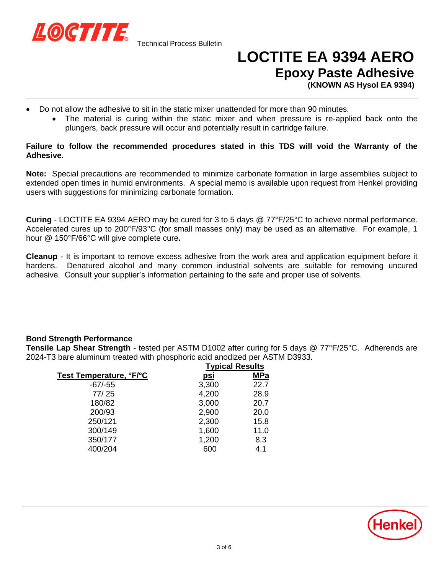

Technical Process Bulletin

# **LOCTITE EA 9394 AERO Epoxy Paste Adhesive**

**(KNOWN AS Hysol EA 9394)**

- Do not allow the adhesive to sit in the static mixer unattended for more than 90 minutes.
	- The material is curing within the static mixer and when pressure is re-applied back onto the plungers, back pressure will occur and potentially result in cartridge failure.

### **Failure to follow the recommended procedures stated in this TDS will void the Warranty of the Adhesive.**

**Note:** Special precautions are recommended to minimize carbonate formation in large assemblies subject to extended open times in humid environments. A special memo is available upon request from Henkel providing users with suggestions for minimizing carbonate formation.

**Curing** - LOCTITE EA 9394 AERO may be cured for 3 to 5 days @ 77°F/25°C to achieve normal performance. Accelerated cures up to 200°F/93°C (for small masses only) may be used as an alternative. For example, 1 hour @ 150°F/66°C will give complete cure**.**

**Cleanup** - It is important to remove excess adhesive from the work area and application equipment before it hardens. Denatured alcohol and many common industrial solvents are suitable for removing uncured adhesive. Consult your supplier's information pertaining to the safe and proper use of solvents.

# **Bond Strength Performance**

**Tensile Lap Shear Strength** *-* tested per ASTM D1002 after curing for 5 days @ 77°F/25°C. Adherends are 2024-T3 bare aluminum treated with phosphoric acid anodized per ASTM D3933.

|                         | <b>Typical Results</b> |            |
|-------------------------|------------------------|------------|
| Test Temperature, °F/°C | <u>psi</u>             | <b>MPa</b> |
| $-67/-55$               | 3,300                  | 22.7       |
| 77/25                   | 4,200                  | 28.9       |
| 180/82                  | 3,000                  | 20.7       |
| 200/93                  | 2,900                  | 20.0       |
| 250/121                 | 2,300                  | 15.8       |
| 300/149                 | 1,600                  | 11.0       |
| 350/177                 | 1,200                  | 8.3        |
| 400/204                 | 600                    | 4.1        |

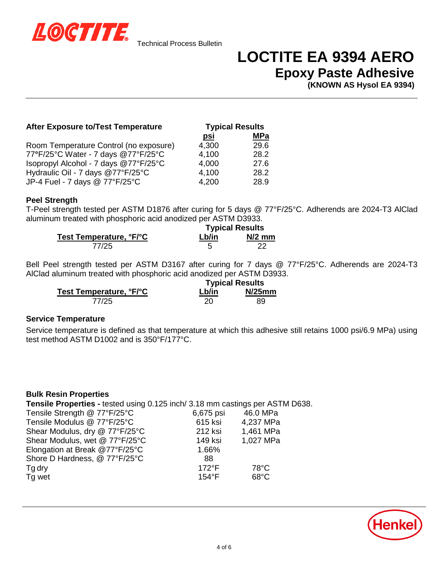

# **LOCTITE EA 9394 AERO Epoxy Paste Adhesive**

**(KNOWN AS Hysol EA 9394)**

### **After Exposure to/Test Temperature Typical Results**

|                                        | <u>psi</u> | <b>MPa</b> |
|----------------------------------------|------------|------------|
| Room Temperature Control (no exposure) | 4,300      | 29.6       |
| 77°F/25°C Water - 7 days @77°F/25°C    | 4.100      | 28.2       |
| Isopropyl Alcohol - 7 days @77°F/25°C  | 4,000      | 27.6       |
| Hydraulic Oil - 7 days @77°F/25°C      | 4.100      | 28.2       |
| JP-4 Fuel - 7 days @ 77°F/25°C         | 4,200      | 28.9       |

#### **Peel Strength**

T-Peel strength tested per ASTM D1876 after curing for 5 days @ 77°F/25°C. Adherends are 2024-T3 AlClad aluminum treated with phosphoric acid anodized per ASTM D3933.

|                         | <b>Typical Results</b> |          |
|-------------------------|------------------------|----------|
| Test Temperature, °F/°C | Lb/in                  | $N/2$ mm |
| 77/25                   |                        |          |

Bell Peel strength tested per ASTM D3167 after curing for 7 days @ 77°F/25°C. Adherends are 2024-T3 AlClad aluminum treated with phosphoric acid anodized per ASTM D3933.

|                         |       | <b>Typical Results</b> |
|-------------------------|-------|------------------------|
| Test Temperature, °F/°C | Lb/in | $N/25$ mm              |
| 77/25                   | 20    | 89                     |

#### **Service Temperature**

Service temperature is defined as that temperature at which this adhesive still retains 1000 psi/6.9 MPa) using test method ASTM D1002 and is 350°F/177°C.

# **Bulk Resin Properties**

**Tensile Properties -** tested using 0.125 inch/ 3.18 mm castings per ASTM D638.

| Tensile Strength @ 77°F/25°C   | 6,675 psi       | 46.0 MPa       |  |
|--------------------------------|-----------------|----------------|--|
| Tensile Modulus @ 77°F/25°C    | 615 ksi         | 4,237 MPa      |  |
| Shear Modulus, dry @ 77°F/25°C | 212 ksi         | 1,461 MPa      |  |
| Shear Modulus, wet @ 77°F/25°C | 149 ksi         | 1,027 MPa      |  |
| Elongation at Break @77°F/25°C | 1.66%           |                |  |
| Shore D Hardness, @ 77°F/25°C  | 88              |                |  |
| Tg dry                         | $172^{\circ}F$  | $78^{\circ}$ C |  |
| Tg wet                         | $154^{\circ}$ F | $68^{\circ}$ C |  |
|                                |                 |                |  |

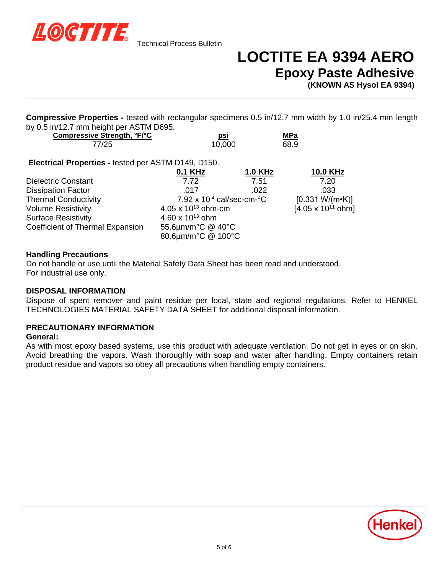

# **LOCTITE EA 9394 AERO Epoxy Paste Adhesive**

**(KNOWN AS Hysol EA 9394)**

**Compressive Properties -** tested with rectangular specimens 0.5 in/12.7 mm width by 1.0 in/25.4 mm length by 0.5 in/12.7 mm height per ASTM D695.

| Compressive Strength, °F/°C                         | psi     |                | MPa  |                 |
|-----------------------------------------------------|---------|----------------|------|-----------------|
| 77/25                                               | 10.000  |                | 68.9 |                 |
| Electrical Properties - tested per ASTM D149, D150. |         |                |      |                 |
|                                                     | 0.1 KHz | <b>1.0 KHz</b> |      | <b>10.0 KHz</b> |
| <b>Dielectric Constant</b>                          | 7 72    | 7.51           |      | 7.20            |

|                                  | <u>.</u>                                     |      | . <b>.</b>                  |
|----------------------------------|----------------------------------------------|------|-----------------------------|
| <b>Dielectric Constant</b>       | 7.72                                         | 7.51 | 7.20                        |
| <b>Dissipation Factor</b>        | .017                                         | .022 | .033                        |
| <b>Thermal Conductivity</b>      | 7.92 x $10^{-4}$ cal/sec-cm- $\textdegree$ C |      | $[0.331 W/(m-K)]$           |
| <b>Volume Resistivity</b>        | 4.05 x $10^{13}$ ohm-cm                      |      | $[4.05 \times 10^{11}$ ohm] |
| <b>Surface Resistivity</b>       | 4.60 x $10^{13}$ ohm                         |      |                             |
| Coefficient of Thermal Expansion | 55.6µm/m°C @ 40°C                            |      |                             |
|                                  | 80.6µm/m°C @ 100°C                           |      |                             |

# **Handling Precautions**

Do not handle or use until the Material Safety Data Sheet has been read and understood. For industrial use only.

#### **DISPOSAL INFORMATION**

Dispose of spent remover and paint residue per local, state and regional regulations. Refer to HENKEL TECHNOLOGIES MATERIAL SAFETY DATA SHEET for additional disposal information.

#### **PRECAUTIONARY INFORMATION**

#### **General:**

As with most epoxy based systems, use this product with adequate ventilation. Do not get in eyes or on skin. Avoid breathing the vapors. Wash thoroughly with soap and water after handling. Empty containers retain product residue and vapors so obey all precautions when handling empty containers.